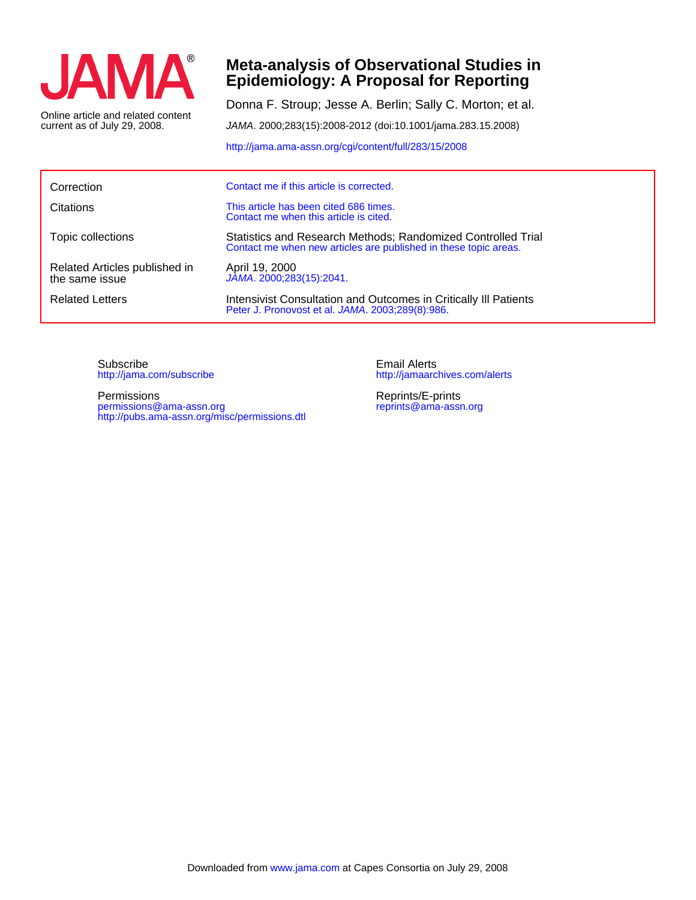

current as of July 29, 2008. Online article and related content

# **Epidemiology: A Proposal for Reporting Meta-analysis of Observational Studies in**

Donna F. Stroup; Jesse A. Berlin; Sally C. Morton; et al.

JAMA. 2000;283(15):2008-2012 (doi:10.1001/jama.283.15.2008)

<http://jama.ama-assn.org/cgi/content/full/283/15/2008>

| Correction                                      | Contact me if this article is corrected.                                                                                         |  |
|-------------------------------------------------|----------------------------------------------------------------------------------------------------------------------------------|--|
| Citations                                       | This article has been cited 686 times.<br>Contact me when this article is cited.                                                 |  |
| Topic collections                               | Statistics and Research Methods; Randomized Controlled Trial<br>Contact me when new articles are published in these topic areas. |  |
| Related Articles published in<br>the same issue | April 19, 2000<br>JAMA. 2000;283(15):2041.                                                                                       |  |
| <b>Related Letters</b>                          | Intensivist Consultation and Outcomes in Critically III Patients<br>Peter J. Pronovost et al. JAMA. 2003;289(8):986.             |  |

<http://jama.com/subscribe> Subscribe

<http://pubs.ama-assn.org/misc/permissions.dtl> permissions@ama-assn.org **Permissions** 

<http://jamaarchives.com/alerts> Email Alerts

[reprints@ama-assn.org](mailto:reprints@ama-assn.org) Reprints/E-prints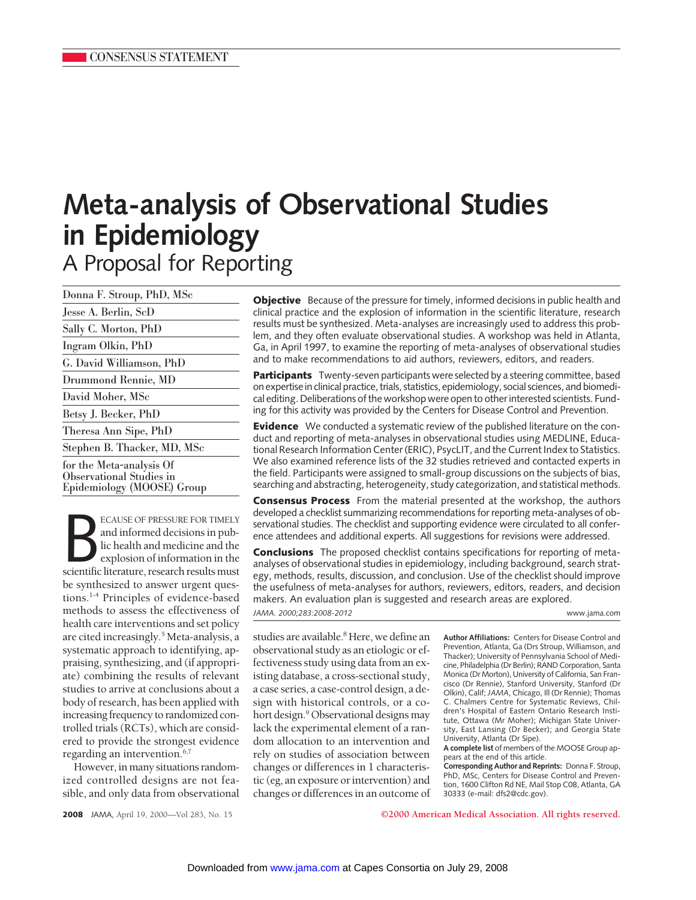# **Meta-analysis of Observational Studies in Epidemiology** A Proposal for Reporting

| Donna F. Stroup, PhD, MSc                              |  |  |
|--------------------------------------------------------|--|--|
| Jesse A. Berlin, ScD                                   |  |  |
| Sally C. Morton, PhD                                   |  |  |
| Ingram Olkin, PhD                                      |  |  |
| G. David Williamson, PhD                               |  |  |
| Drummond Rennie, MD                                    |  |  |
| David Moher, MSc                                       |  |  |
| Betsy J. Becker, PhD                                   |  |  |
| Theresa Ann Sipe, PhD                                  |  |  |
| Stephen B. Thacker, MD, MSc                            |  |  |
| for the Meta-analysis Of                               |  |  |
| Observational Studies in<br>Epidemiology (MOOSE) Group |  |  |
|                                                        |  |  |

ECAUSE OF PRESSURE FOR TIMELY<br>
and informed decisions in pub-<br>
ic health and medicine and the<br>
explosion of information in the<br>
scientific literature, research results must ECAUSE OF PRESSURE FOR TIMELY and informed decisions in public health and medicine and the explosion of information in the be synthesized to answer urgent questions.1-4 Principles of evidence-based methods to assess the effectiveness of health care interventions and set policy are cited increasingly.<sup>5</sup> Meta-analysis, a systematic approach to identifying, appraising, synthesizing, and (if appropriate) combining the results of relevant studies to arrive at conclusions about a body of research, has been applied with increasing frequency to randomized controlled trials (RCTs), which are considered to provide the strongest evidence regarding an intervention.<sup>6,7</sup>

However, in many situations randomized controlled designs are not feasible, and only data from observational

and to make recommendations to aid authors, reviewers, editors, and readers. **Participants** Twenty-seven participants were selected by a steering committee, based on expertise in clinical practice, trials, statistics, epidemiology, social sciences, and biomedical editing. Deliberations of the workshop were open to other interested scientists. Fund- $\overline{\phantom{a}}$ ing for this activity was provided by the Centers for Disease Control and Prevention.

**Evidence** We conducted a systematic review of the published literature on the conduct and reporting of meta-analyses in observational studies using MEDLINE, Educational Research Information Center (ERIC), PsycLIT, and the Current Index to Statistics. We also examined reference lists of the 32 studies retrieved and contacted experts in the field. Participants were assigned to small-group discussions on the subjects of bias, searching and abstracting, heterogeneity, study categorization, and statistical methods.

**Objective** Because of the pressure for timely, informed decisions in public health and clinical practice and the explosion of information in the scientific literature, research results must be synthesized. Meta-analyses are increasingly used to address this problem, and they often evaluate observational studies. A workshop was held in Atlanta, Ga, in April 1997, to examine the reporting of meta-analyses of observational studies

**Consensus Process** From the material presented at the workshop, the authors developed a checklist summarizing recommendations for reporting meta-analyses of observational studies. The checklist and supporting evidence were circulated to all conference attendees and additional experts. All suggestions for revisions were addressed.

**Conclusions** The proposed checklist contains specifications for reporting of metaanalyses of observational studies in epidemiology, including background, search strategy, methods, results, discussion, and conclusion. Use of the checklist should improve the usefulness of meta-analyses for authors, reviewers, editors, readers, and decision makers. An evaluation plan is suggested and research areas are explored. *JAMA. 2000;283:2008-2012* www.jama.com

studies are available.<sup>8</sup> Here, we define an observational study as an etiologic or effectiveness study using data from an existing database, a cross-sectional study, a case series, a case-control design, a design with historical controls, or a cohort design.<sup>9</sup> Observational designs may lack the experimental element of a random allocation to an intervention and rely on studies of association between changes or differences in 1 characteristic (eg, an exposure or intervention) and changes or differences in an outcome of

**Author Affiliations:** Centers for Disease Control and Prevention, Atlanta, Ga (Drs Stroup, Williamson, and Thacker); University of Pennsylvania School of Medicine, Philadelphia (Dr Berlin); RAND Corporation, Santa Monica (Dr Morton), University of California, San Francisco (Dr Rennie), Stanford University, Stanford (Dr Olkin), Calif; *JAMA*, Chicago, Ill (Dr Rennie); Thomas C. Chalmers Centre for Systematic Reviews, Children's Hospital of Eastern Ontario Research Institute, Ottawa (Mr Moher); Michigan State University, East Lansing (Dr Becker); and Georgia State University, Atlanta (Dr Sipe).

**A complete list** of members of the MOOSE Group appears at the end of this article.

**Corresponding Author and Reprints:** Donna F. Stroup, PhD, MSc, Centers for Disease Control and Prevention, 1600 Clifton Rd NE, Mail Stop C08, Atlanta, GA 30333 (e-mail: dfs2@cdc.gov).

**2008** JAMA, April 19, 2000—Vol 283, No. 15 **©2000 American Medical Association. All rights reserved.**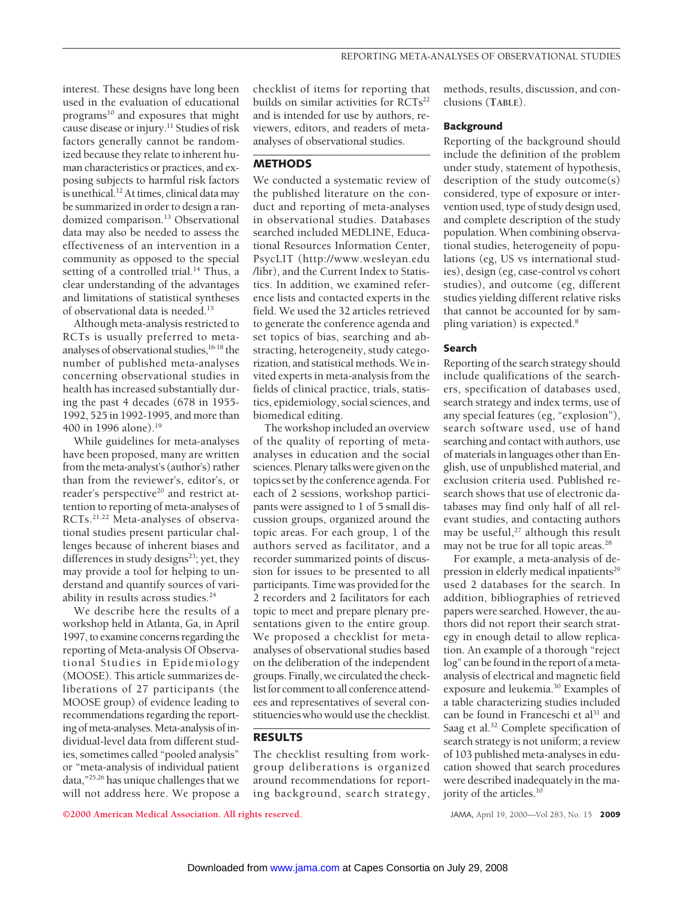interest. These designs have long been used in the evaluation of educational programs<sup>10</sup> and exposures that might cause disease or injury.<sup>11</sup> Studies of risk factors generally cannot be randomized because they relate to inherent human characteristics or practices, and exposing subjects to harmful risk factors is unethical.<sup>12</sup> At times, clinical data may be summarized in order to design a randomized comparison.<sup>13</sup> Observational data may also be needed to assess the effectiveness of an intervention in a community as opposed to the special setting of a controlled trial.<sup>14</sup> Thus, a clear understanding of the advantages and limitations of statistical syntheses of observational data is needed.15

Although meta-analysis restricted to RCTs is usually preferred to metaanalyses of observational studies, 16-18 the number of published meta-analyses concerning observational studies in health has increased substantially during the past 4 decades (678 in 1955- 1992, 525 in 1992-1995, and more than 400 in 1996 alone).<sup>19</sup>

While guidelines for meta-analyses have been proposed, many are written from the meta-analyst's (author's) rather than from the reviewer's, editor's, or reader's perspective<sup>20</sup> and restrict attention to reporting of meta-analyses of RCTs.<sup>21,22</sup> Meta-analyses of observational studies present particular challenges because of inherent biases and differences in study designs<sup>23</sup>; yet, they may provide a tool for helping to understand and quantify sources of variability in results across studies.<sup>24</sup>

We describe here the results of a workshop held in Atlanta, Ga, in April 1997, to examine concerns regarding the reporting of Meta-analysis Of Observational Studies in Epidemiology (MOOSE). This article summarizes deliberations of 27 participants (the MOOSE group) of evidence leading to recommendations regarding the reporting of meta-analyses. Meta-analysis of individual-level data from different studies, sometimes called "pooled analysis" or "meta-analysis of individual patient data,"25,26 has unique challenges that we will not address here. We propose a

checklist of items for reporting that builds on similar activities for  $RCTs^{22}$ and is intended for use by authors, reviewers, editors, and readers of metaanalyses of observational studies.

# **METHODS**

We conducted a systematic review of the published literature on the conduct and reporting of meta-analyses in observational studies. Databases searched included MEDLINE, Educational Resources Information Center, PsycLIT (http://www.wesleyan.edu /libr), and the Current Index to Statistics. In addition, we examined reference lists and contacted experts in the field. We used the 32 articles retrieved to generate the conference agenda and set topics of bias, searching and abstracting, heterogeneity, study categorization, and statistical methods. We invited experts in meta-analysis from the fields of clinical practice, trials, statistics, epidemiology, social sciences, and biomedical editing.

The workshop included an overview of the quality of reporting of metaanalyses in education and the social sciences. Plenary talks were given on the topics set by the conference agenda. For each of 2 sessions, workshop participants were assigned to 1 of 5 small discussion groups, organized around the topic areas. For each group, 1 of the authors served as facilitator, and a recorder summarized points of discussion for issues to be presented to all participants. Time was provided for the 2 recorders and 2 facilitators for each topic to meet and prepare plenary presentations given to the entire group. We proposed a checklist for metaanalyses of observational studies based on the deliberation of the independent groups. Finally, we circulated the checklist for comment to all conference attendees and representatives of several constituencies who would use the checklist.

## **RESULTS**

The checklist resulting from workgroup deliberations is organized around recommendations for reporting background, search strategy, methods, results, discussion, and conclusions (**TABLE**).

#### **Background**

Reporting of the background should include the definition of the problem under study, statement of hypothesis, description of the study outcome(s) considered, type of exposure or intervention used, type of study design used, and complete description of the study population. When combining observational studies, heterogeneity of populations (eg, US vs international studies), design (eg, case-control vs cohort studies), and outcome (eg, different studies yielding different relative risks that cannot be accounted for by sampling variation) is expected.8

#### **Search**

Reporting of the search strategy should include qualifications of the searchers, specification of databases used, search strategy and index terms, use of any special features (eg, "explosion"), search software used, use of hand searching and contact with authors, use of materials in languages other than English, use of unpublished material, and exclusion criteria used. Published research shows that use of electronic databases may find only half of all relevant studies, and contacting authors may be useful,<sup>27</sup> although this result may not be true for all topic areas.<sup>28</sup>

For example, a meta-analysis of depression in elderly medical inpatients<sup>29</sup> used 2 databases for the search. In addition, bibliographies of retrieved papers were searched. However, the authors did not report their search strategy in enough detail to allow replication. An example of a thorough "reject log" can be found in the report of a metaanalysis of electrical and magnetic field exposure and leukemia.30 Examples of a table characterizing studies included can be found in Franceschi et al<sup>31</sup> and Saag et al.<sup>32</sup> Complete specification of search strategy is not uniform; a review of 103 published meta-analyses in education showed that search procedures were described inadequately in the majority of the articles.<sup>10</sup>

**©2000 American Medical Association. All rights reserved.** JAMA, April 19, 2000—Vol 283, No. 15 **2009**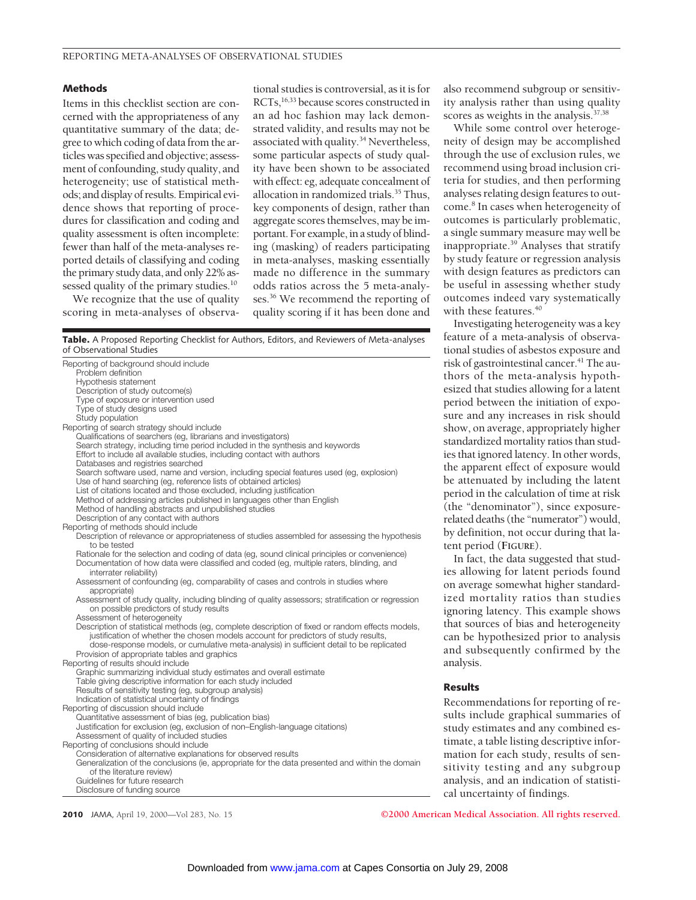### **Methods**

Items in this checklist section are concerned with the appropriateness of any quantitative summary of the data; degree to which coding of data from the articles was specified and objective; assessment of confounding, study quality, and heterogeneity; use of statistical methods; and display of results. Empirical evidence shows that reporting of procedures for classification and coding and quality assessment is often incomplete: fewer than half of the meta-analyses reported details of classifying and coding the primary study data, and only 22% assessed quality of the primary studies.<sup>10</sup>

We recognize that the use of quality scoring in meta-analyses of observational studies is controversial, as it is for RCTs,16,33 because scores constructed in an ad hoc fashion may lack demonstrated validity, and results may not be associated with quality.<sup>34</sup> Nevertheless, some particular aspects of study quality have been shown to be associated with effect: eg, adequate concealment of allocation in randomized trials.<sup>35</sup> Thus, key components of design, rather than aggregate scores themselves, may be important. For example, in a study of blinding (masking) of readers participating in meta-analyses, masking essentially made no difference in the summary odds ratios across the 5 meta-analyses.36 We recommend the reporting of quality scoring if it has been done and

| Table. A Proposed Reporting Checklist for Authors, Editors, and Reviewers of Meta-analyses<br>of Observational Studies                                                          |  |  |
|---------------------------------------------------------------------------------------------------------------------------------------------------------------------------------|--|--|
| Reporting of background should include                                                                                                                                          |  |  |
| Problem definition                                                                                                                                                              |  |  |
| Hypothesis statement                                                                                                                                                            |  |  |
| Description of study outcome(s)                                                                                                                                                 |  |  |
| Type of exposure or intervention used                                                                                                                                           |  |  |
| Type of study designs used                                                                                                                                                      |  |  |
| Study population                                                                                                                                                                |  |  |
| Reporting of search strategy should include                                                                                                                                     |  |  |
| Qualifications of searchers (eg, librarians and investigators)                                                                                                                  |  |  |
| Search strategy, including time period included in the synthesis and keywords                                                                                                   |  |  |
| Effort to include all available studies, including contact with authors                                                                                                         |  |  |
| Databases and registries searched                                                                                                                                               |  |  |
| Search software used, name and version, including special features used (eg, explosion)                                                                                         |  |  |
| Use of hand searching (eg, reference lists of obtained articles)                                                                                                                |  |  |
| List of citations located and those excluded, including justification                                                                                                           |  |  |
| Method of addressing articles published in languages other than English                                                                                                         |  |  |
| Method of handling abstracts and unpublished studies                                                                                                                            |  |  |
| Description of any contact with authors                                                                                                                                         |  |  |
| Reporting of methods should include                                                                                                                                             |  |  |
| Description of relevance or appropriateness of studies assembled for assessing the hypothesis<br>to be tested                                                                   |  |  |
| Rationale for the selection and coding of data (eg, sound clinical principles or convenience)                                                                                   |  |  |
| Documentation of how data were classified and coded (eg, multiple raters, blinding, and<br>interrater reliability)                                                              |  |  |
| Assessment of confounding (eg, comparability of cases and controls in studies where<br>appropriate)                                                                             |  |  |
| Assessment of study quality, including blinding of quality assessors; stratification or regression<br>on possible predictors of study results                                   |  |  |
| Assessment of heterogeneity                                                                                                                                                     |  |  |
| Description of statistical methods (eg, complete description of fixed or random effects models,                                                                                 |  |  |
| justification of whether the chosen models account for predictors of study results,<br>dose-response models, or cumulative meta-analysis) in sufficient detail to be replicated |  |  |
| Provision of appropriate tables and graphics                                                                                                                                    |  |  |
| Reporting of results should include                                                                                                                                             |  |  |
| Graphic summarizing individual study estimates and overall estimate                                                                                                             |  |  |
| Table giving descriptive information for each study included                                                                                                                    |  |  |
| Results of sensitivity testing (eg, subgroup analysis)                                                                                                                          |  |  |
| Indication of statistical uncertainty of findings                                                                                                                               |  |  |
| Reporting of discussion should include                                                                                                                                          |  |  |
| Quantitative assessment of bias (eg, publication bias)                                                                                                                          |  |  |
| Justification for exclusion (eg, exclusion of non-English-language citations)                                                                                                   |  |  |
| Assessment of quality of included studies                                                                                                                                       |  |  |
| Reporting of conclusions should include                                                                                                                                         |  |  |
| Consideration of alternative explanations for observed results                                                                                                                  |  |  |
| Generalization of the conclusions (ie, appropriate for the data presented and within the domain<br>of the literature review)                                                    |  |  |
| Guidelines for future research                                                                                                                                                  |  |  |
| Disclosure of funding source                                                                                                                                                    |  |  |
|                                                                                                                                                                                 |  |  |

also recommend subgroup or sensitivity analysis rather than using quality scores as weights in the analysis.<sup>37,38</sup>

While some control over heterogeneity of design may be accomplished through the use of exclusion rules, we recommend using broad inclusion criteria for studies, and then performing analyses relating design features to outcome.8 In cases when heterogeneity of outcomes is particularly problematic, a single summary measure may well be inappropriate.39 Analyses that stratify by study feature or regression analysis with design features as predictors can be useful in assessing whether study outcomes indeed vary systematically with these features.<sup>40</sup>

Investigating heterogeneity was a key feature of a meta-analysis of observational studies of asbestos exposure and risk of gastrointestinal cancer.<sup>41</sup> The authors of the meta-analysis hypothesized that studies allowing for a latent period between the initiation of exposure and any increases in risk should show, on average, appropriately higher standardized mortality ratios than studies that ignored latency. In other words, the apparent effect of exposure would be attenuated by including the latent period in the calculation of time at risk (the "denominator"), since exposurerelated deaths (the "numerator") would, by definition, not occur during that latent period (**FIGURE**).

In fact, the data suggested that studies allowing for latent periods found on average somewhat higher standardized mortality ratios than studies ignoring latency. This example shows that sources of bias and heterogeneity can be hypothesized prior to analysis and subsequently confirmed by the analysis.

#### **Results**

Recommendations for reporting of results include graphical summaries of study estimates and any combined estimate, a table listing descriptive information for each study, results of sensitivity testing and any subgroup analysis, and an indication of statistical uncertainty of findings.

**2010** JAMA, April 19, 2000—Vol 283, No. 15 **©2000 American Medical Association. All rights reserved.**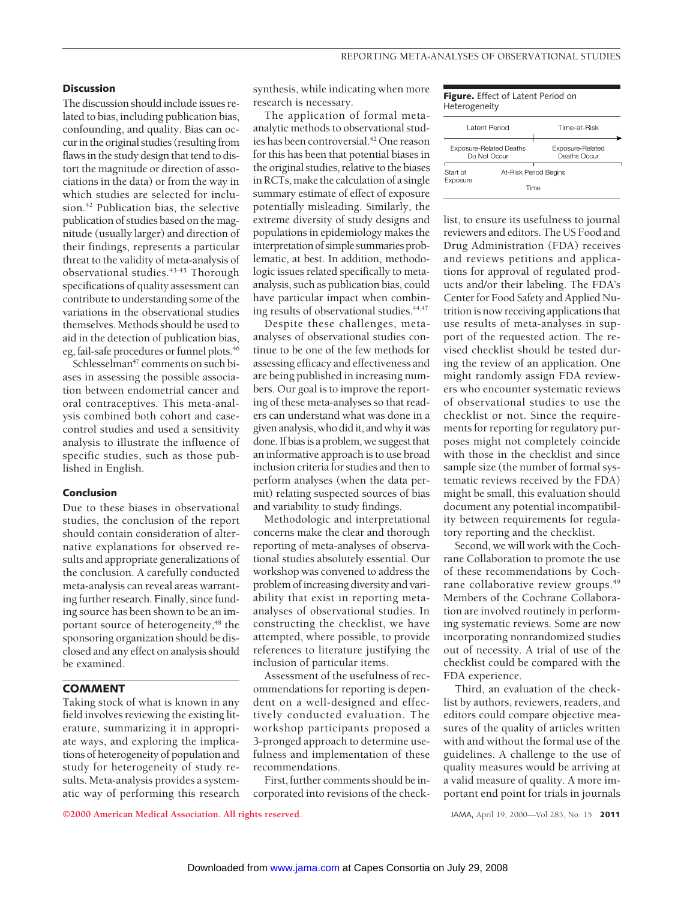#### **Discussion**

The discussion should include issues related to bias, including publication bias, confounding, and quality. Bias can occur in the original studies (resulting from flaws in the study design that tend to distort the magnitude or direction of associations in the data) or from the way in which studies are selected for inclusion.42 Publication bias, the selective publication of studies based on the magnitude (usually larger) and direction of their findings, represents a particular threat to the validity of meta-analysis of observational studies.43-45 Thorough specifications of quality assessment can contribute to understanding some of the variations in the observational studies themselves. Methods should be used to aid in the detection of publication bias, eg, fail-safe procedures or funnel plots.<sup>46</sup>

Schlesselman<sup>47</sup> comments on such biases in assessing the possible association between endometrial cancer and oral contraceptives. This meta-analysis combined both cohort and casecontrol studies and used a sensitivity analysis to illustrate the influence of specific studies, such as those published in English.

#### **Conclusion**

Due to these biases in observational studies, the conclusion of the report should contain consideration of alternative explanations for observed results and appropriate generalizations of the conclusion. A carefully conducted meta-analysis can reveal areas warranting further research. Finally, since funding source has been shown to be an important source of heterogeneity,<sup>48</sup> the sponsoring organization should be disclosed and any effect on analysis should be examined.

# **COMMENT**

Taking stock of what is known in any field involves reviewing the existing literature, summarizing it in appropriate ways, and exploring the implications of heterogeneity of population and study for heterogeneity of study results. Meta-analysis provides a systematic way of performing this research synthesis, while indicating when more research is necessary.

The application of formal metaanalytic methods to observational studies has been controversial.<sup>42</sup> One reason for this has been that potential biases in the original studies, relative to the biases in RCTs, make the calculation of a single summary estimate of effect of exposure potentially misleading. Similarly, the extreme diversity of study designs and populations in epidemiology makes the interpretation of simple summaries problematic, at best. In addition, methodologic issues related specifically to metaanalysis, such as publication bias, could have particular impact when combining results of observational studies.<sup>44,47</sup>

Despite these challenges, metaanalyses of observational studies continue to be one of the few methods for assessing efficacy and effectiveness and are being published in increasing numbers. Our goal is to improve the reporting of these meta-analyses so that readers can understand what was done in a given analysis, who did it, and why it was done. If bias is a problem, we suggest that an informative approach is to use broad inclusion criteria for studies and then to perform analyses (when the data permit) relating suspected sources of bias and variability to study findings.

Methodologic and interpretational concerns make the clear and thorough reporting of meta-analyses of observational studies absolutely essential. Our workshop was convened to address the problem of increasing diversity and variability that exist in reporting metaanalyses of observational studies. In constructing the checklist, we have attempted, where possible, to provide references to literature justifying the inclusion of particular items.

Assessment of the usefulness of recommendations for reporting is dependent on a well-designed and effectively conducted evaluation. The workshop participants proposed a 3-pronged approach to determine usefulness and implementation of these recommendations.

First, further comments should be incorporated into revisions of the check-

| Figure. Effect of Latent Period on<br>Heterogeneity |                       |                  |  |  |
|-----------------------------------------------------|-----------------------|------------------|--|--|
| I atent Period                                      |                       | Time-at-Risk     |  |  |
| <b>Exposure-Related Deaths</b>                      |                       | Exposure-Related |  |  |
| Do Not Occur                                        |                       | Deaths Occur     |  |  |
| Start of                                            | At-Risk Period Begins |                  |  |  |
| Exposure                                            | Time                  |                  |  |  |

list, to ensure its usefulness to journal reviewers and editors. The US Food and Drug Administration (FDA) receives and reviews petitions and applications for approval of regulated products and/or their labeling. The FDA's Center for Food Safety and Applied Nutrition is now receiving applications that use results of meta-analyses in support of the requested action. The revised checklist should be tested during the review of an application. One might randomly assign FDA reviewers who encounter systematic reviews of observational studies to use the checklist or not. Since the requirements for reporting for regulatory purposes might not completely coincide with those in the checklist and since sample size (the number of formal systematic reviews received by the FDA) might be small, this evaluation should document any potential incompatibility between requirements for regulatory reporting and the checklist.

Second, we will work with the Cochrane Collaboration to promote the use of these recommendations by Cochrane collaborative review groups.<sup>49</sup> Members of the Cochrane Collaboration are involved routinely in performing systematic reviews. Some are now incorporating nonrandomized studies out of necessity. A trial of use of the checklist could be compared with the FDA experience.

Third, an evaluation of the checklist by authors, reviewers, readers, and editors could compare objective measures of the quality of articles written with and without the formal use of the guidelines. A challenge to the use of quality measures would be arriving at a valid measure of quality. A more important end point for trials in journals

**©2000 American Medical Association. All rights reserved.** JAMA, April 19, 2000—Vol 283, No. 15 **2011**